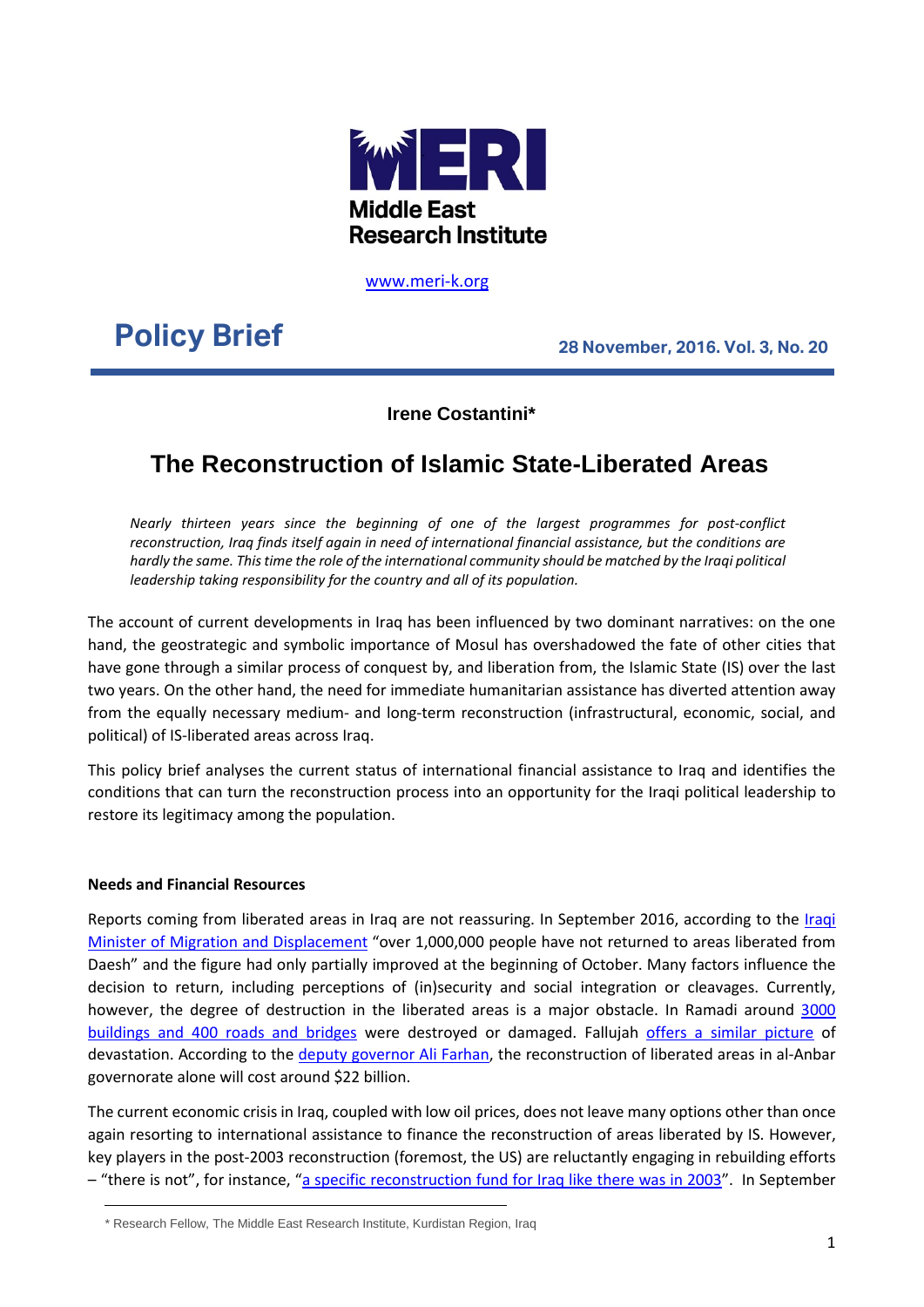

[www.meri-k.org](http://www.meri-k.org/)

# **Policy Brief 28 November, 2016. Vol. 3, No. 20**

### **Irene Costantini\***

## **The Reconstruction of Islamic State-Liberated Areas**

*Nearly thirteen years since the beginning of one of the largest programmes for post-conflict reconstruction, Iraq finds itself again in need of international financial assistance, but the conditions are hardly the same. This time the role of the international community should be matched by the Iraqi political leadership taking responsibility for the country and all of its population.* 

The account of current developments in Iraq has been influenced by two dominant narratives: on the one hand, the geostrategic and symbolic importance of Mosul has overshadowed the fate of other cities that have gone through a similar process of conquest by, and liberation from, the Islamic State (IS) over the last two years. On the other hand, the need for immediate humanitarian assistance has diverted attention away from the equally necessary medium- and long-term reconstruction (infrastructural, economic, social, and political) of IS-liberated areas across Iraq.

This policy brief analyses the current status of international financial assistance to Iraq and identifies the conditions that can turn the reconstruction process into an opportunity for the Iraqi political leadership to restore its legitimacy among the population.

#### **Needs and Financial Resources**

Reports coming from liberated areas in Iraq are not reassuring. In September 2016, according to the *Iraqi* [Minister of Migration and Displacement](https://twitter.com/coalition/status/788839643735359489) "over 1,000,000 people have not returned to areas liberated from Daesh" and the figure had only partially improved at the beginning of October. Many factors influence the decision to return, including perceptions of (in)security and social integration or cleavages. Currently, however, the degree of destruction in the liberated areas is a major obstacle. In Ramadi around 3000 [buildings and 400 roads and bridges](http://www.dailymail.co.uk/news/article-3574549/The-price-victory-ISIS-Shocking-images-Ramadi-reduced-rubble.html) were destroyed or damaged. Fallujah [offers a similar picture](http://www.businessinsider.com/fallujah-after-isis-2016-7/#here-security-forces-posed-for-a-photo-in-front-of-murals-isis-had-painted-with-themes-of-violence-17) of devastation. According to the [deputy governor Ali Farhan,](http://iraq-solidarity.blogspot.com/2016/09/international-conference-in-iraq-for.html) the reconstruction of liberated areas in al-Anbar governorate alone will cost around \$22 billion.

The current economic crisis in Iraq, coupled with low oil prices, does not leave many options other than once again resorting to international assistance to finance the reconstruction of areas liberated by IS. However, key players in the post-2003 reconstruction (foremost, the US) are reluctantly engaging in rebuilding efforts – "there is not", for instance, ["a specific reconstruction fund for Iraq like there was in 2003"](http://www.washingtontimes.com/news/2016/nov/6/us-leaving-mosul-reconstruction-to-iraq-potentiall/). In September

\* Research Fellow, The Middle East Research Institute, Kurdistan Region, Iraq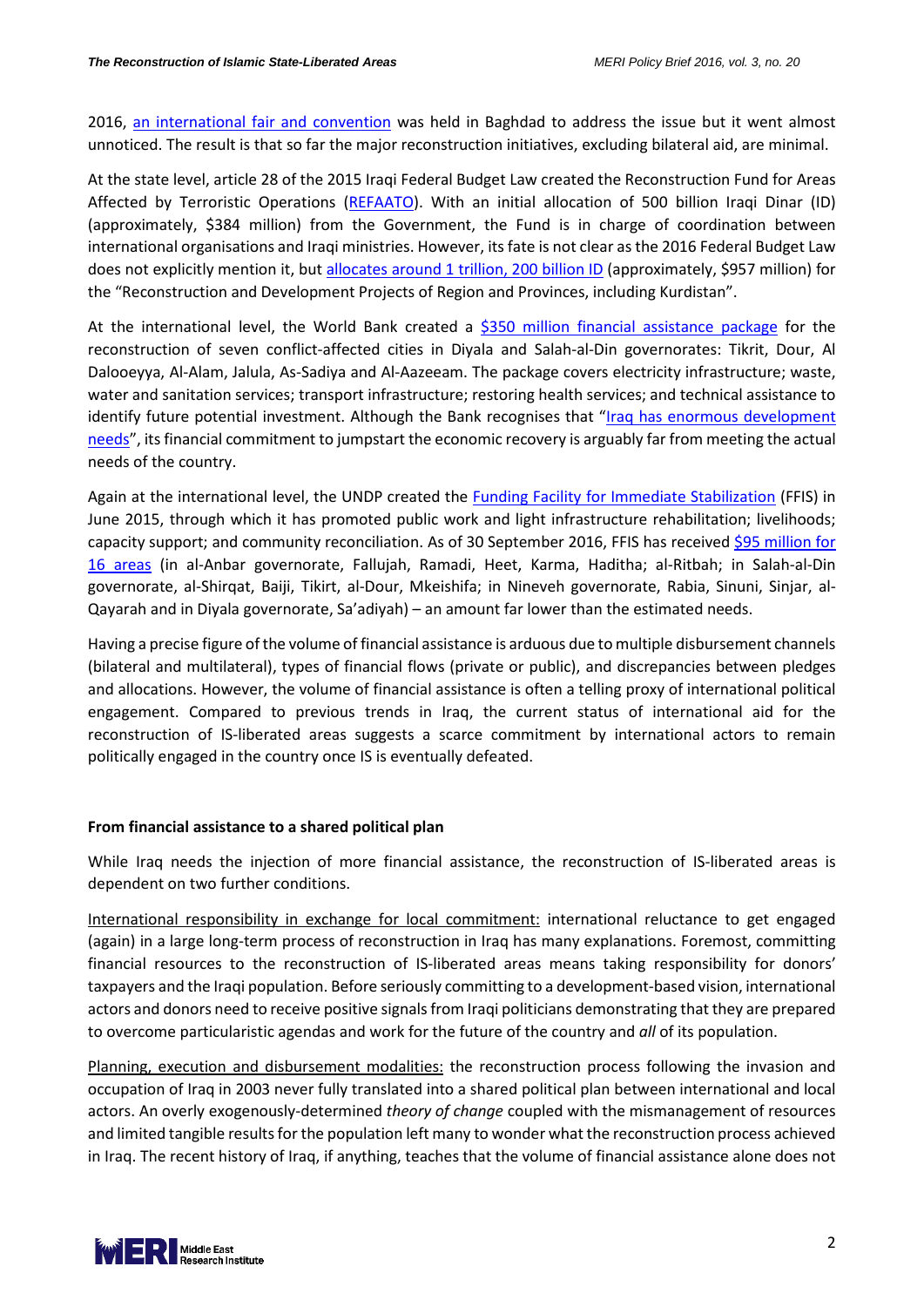2016, [an international fair and convention](http://iraq-solidarity.blogspot.com/2016/09/international-conference-in-iraq-for.html) was held in Baghdad to address the issue but it went almost unnoticed. The result is that so far the major reconstruction initiatives, excluding bilateral aid, are minimal.

At the state level, article 28 of the 2015 Iraqi Federal Budget Law created the Reconstruction Fund for Areas Affected by Terroristic Operations [\(REFAATO\)](http://refaato.iq/en/). With an initial allocation of 500 billion Iraqi Dinar (ID) (approximately, \$384 million) from the Government, the Fund is in charge of coordination between international organisations and Iraqi ministries. However, its fate is not clear as the 2016 Federal Budget Law does not explicitly mention it, but [allocates around 1 trillion,](http://www.bayancenter.org/en/wp-content/uploads/2015/12/Final-Iraq-Budget-2016.compressed.pdf) 200 billion ID (approximately, \$957 million) for the "Reconstruction and Development Projects of Region and Provinces, including Kurdistan".

At the international level, the World Bank created a [\\$350 million financial assistance package](http://www.worldbank.org/en/news/press-release/2015/07/07/iraq-reconstruction-and-rehabilitation-in-conflict-affected-cities) for the reconstruction of seven conflict-affected cities in Diyala and Salah-al-Din governorates: Tikrit, Dour, Al Dalooeyya, Al-Alam, Jalula, As-Sadiya and Al-Aazeeam. The package covers electricity infrastructure; waste, water and sanitation services; transport infrastructure; restoring health services; and technical assistance to identify future potential investment. Although the Bank recognises that ["Iraq has enormous development](http://www.worldbank.org/en/news/press-release/2015/07/07/iraq-reconstruction-and-rehabilitation-in-conflict-affected-cities)  [needs"](http://www.worldbank.org/en/news/press-release/2015/07/07/iraq-reconstruction-and-rehabilitation-in-conflict-affected-cities), its financial commitment to jumpstart the economic recovery is arguably far from meeting the actual needs of the country.

Again at the international level, the UNDP created the [Funding Facility for Immediate Stabilization](http://www.iq.undp.org/content/iraq/en/home/ourwork/Stabilization/In-depth.html) (FFIS) in June 2015, through which it has promoted public work and light infrastructure rehabilitation; livelihoods; capacity support; and community reconciliation. As of 30 September 2016, FFIS has received [\\$95 million for](http://www.iq.undp.org/content/dam/iraq/docs/Stabilization/UNDP%20IQ-%20FFIS%20Stabilization%20Q3%20Report-20161030.pdf?download)  [16 areas](http://www.iq.undp.org/content/dam/iraq/docs/Stabilization/UNDP%20IQ-%20FFIS%20Stabilization%20Q3%20Report-20161030.pdf?download) (in al-Anbar governorate, Fallujah, Ramadi, Heet, Karma, Haditha; al-Ritbah; in Salah-al-Din governorate, al-Shirqat, Baiji, Tikirt, al-Dour, Mkeishifa; in Nineveh governorate, Rabia, Sinuni, Sinjar, al-Qayarah and in Diyala governorate, Sa'adiyah) – an amount far lower than the estimated needs.

Having a precise figure of the volume of financial assistance is arduous due to multiple disbursement channels (bilateral and multilateral), types of financial flows (private or public), and discrepancies between pledges and allocations. However, the volume of financial assistance is often a telling proxy of international political engagement. Compared to previous trends in Iraq, the current status of international aid for the reconstruction of IS-liberated areas suggests a scarce commitment by international actors to remain politically engaged in the country once IS is eventually defeated.

#### **From financial assistance to a shared political plan**

While Iraq needs the injection of more financial assistance, the reconstruction of IS-liberated areas is dependent on two further conditions.

International responsibility in exchange for local commitment: international reluctance to get engaged (again) in a large long-term process of reconstruction in Iraq has many explanations. Foremost, committing financial resources to the reconstruction of IS-liberated areas means taking responsibility for donors' taxpayers and the Iraqi population. Before seriously committing to a development-based vision, international actors and donors need to receive positive signals from Iraqi politicians demonstrating that they are prepared to overcome particularistic agendas and work for the future of the country and *all* of its population.

Planning, execution and disbursement modalities: the reconstruction process following the invasion and occupation of Iraq in 2003 never fully translated into a shared political plan between international and local actors. An overly exogenously-determined *theory of change* coupled with the mismanagement of resources and limited tangible results for the population left many to wonder what the reconstruction process achieved in Iraq. The recent history of Iraq, if anything, teaches that the volume of financial assistance alone does not